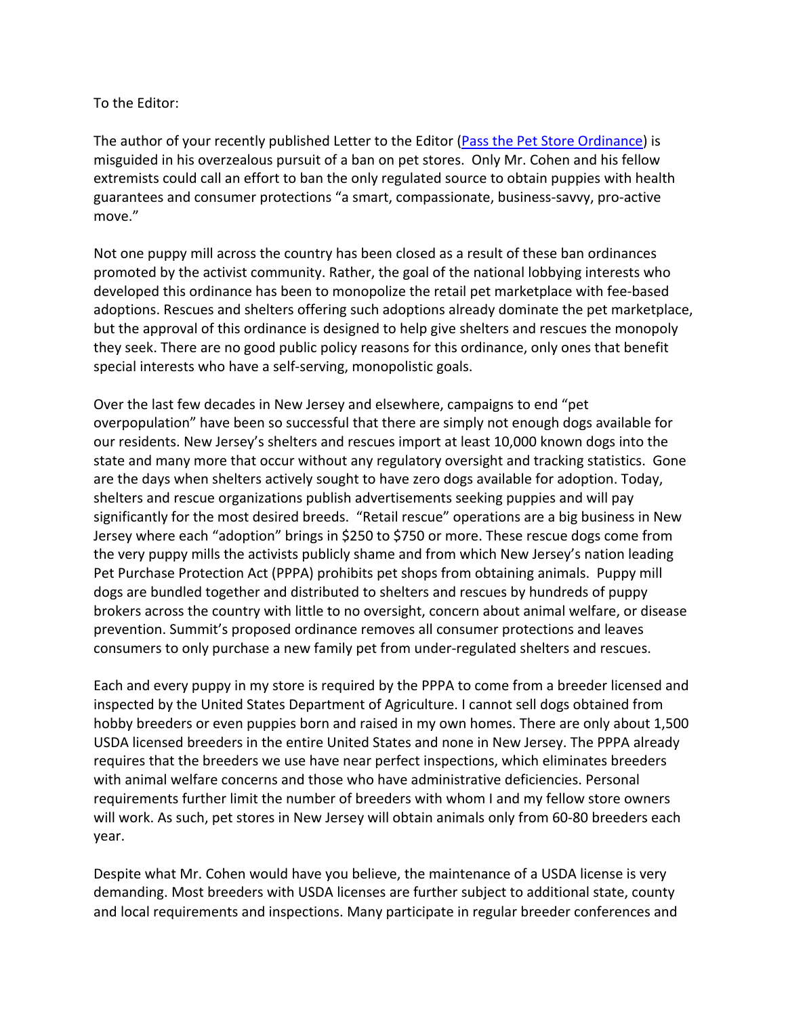## To the Editor:

The author of your recently published Letter to the Editor (Pass the Pet Store Ordinance) is misguided in his overzealous pursuit of a ban on pet stores. Only Mr. Cohen and his fellow extremists could call an effort to ban the only regulated source to obtain puppies with health guarantees and consumer protections "a smart, compassionate, business-savvy, pro-active move."

Not one puppy mill across the country has been closed as a result of these ban ordinances promoted by the activist community. Rather, the goal of the national lobbying interests who developed this ordinance has been to monopolize the retail pet marketplace with fee-based adoptions. Rescues and shelters offering such adoptions already dominate the pet marketplace, but the approval of this ordinance is designed to help give shelters and rescues the monopoly they seek. There are no good public policy reasons for this ordinance, only ones that benefit special interests who have a self-serving, monopolistic goals.

Over the last few decades in New Jersey and elsewhere, campaigns to end "pet overpopulation" have been so successful that there are simply not enough dogs available for our residents. New Jersey's shelters and rescues import at least 10,000 known dogs into the state and many more that occur without any regulatory oversight and tracking statistics. Gone are the days when shelters actively sought to have zero dogs available for adoption. Today, shelters and rescue organizations publish advertisements seeking puppies and will pay significantly for the most desired breeds. "Retail rescue" operations are a big business in New Jersey where each "adoption" brings in \$250 to \$750 or more. These rescue dogs come from the very puppy mills the activists publicly shame and from which New Jersey's nation leading Pet Purchase Protection Act (PPPA) prohibits pet shops from obtaining animals. Puppy mill dogs are bundled together and distributed to shelters and rescues by hundreds of puppy brokers across the country with little to no oversight, concern about animal welfare, or disease prevention. Summit's proposed ordinance removes all consumer protections and leaves consumers to only purchase a new family pet from under-regulated shelters and rescues.

Each and every puppy in my store is required by the PPPA to come from a breeder licensed and inspected by the United States Department of Agriculture. I cannot sell dogs obtained from hobby breeders or even puppies born and raised in my own homes. There are only about 1,500 USDA licensed breeders in the entire United States and none in New Jersey. The PPPA already requires that the breeders we use have near perfect inspections, which eliminates breeders with animal welfare concerns and those who have administrative deficiencies. Personal requirements further limit the number of breeders with whom I and my fellow store owners will work. As such, pet stores in New Jersey will obtain animals only from 60-80 breeders each year.

Despite what Mr. Cohen would have you believe, the maintenance of a USDA license is very demanding. Most breeders with USDA licenses are further subject to additional state, county and local requirements and inspections. Many participate in regular breeder conferences and